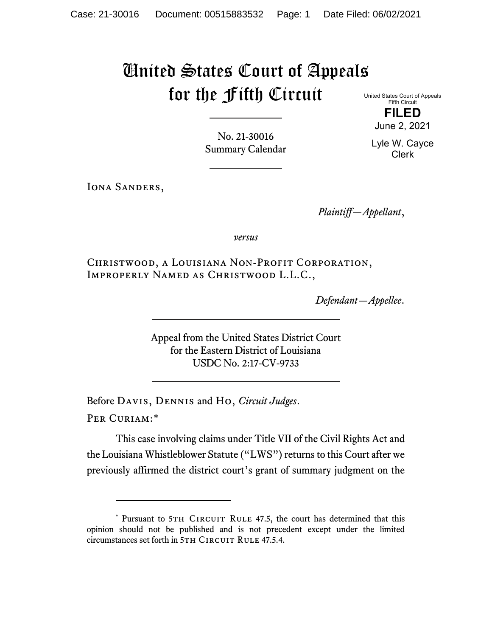# United States Court of Appeals for the Fifth Circuit

United States Court of Appeals Fifth Circuit **FILED**

June 2, 2021

Lyle W. Cayce Clerk

No. 21-30016 Summary Calendar

IONA SANDERS,

*Plaintiff—Appellant*,

*versus*

Christwood, a Louisiana Non-Profit Corporation, Improperly Named as Christwood L.L.C.,

*Defendant—Appellee*.

Appeal from the United States District Court for the Eastern District of Louisiana USDC No. 2:17-CV-9733

Before Davis, Dennis and Ho, *Circuit Judges*.

Per Curiam:[\\*](#page-0-0)

This case involving claims under Title VII of the Civil Rights Act and the Louisiana Whistleblower Statute ("LWS") returns to this Court after we previously affirmed the district court's grant of summary judgment on the

<span id="page-0-0"></span><sup>\*</sup> Pursuant to 5TH CIRCUIT RULE 47.5, the court has determined that this opinion should not be published and is not precedent except under the limited circumstances set forth in 5TH CIRCUIT RULE 47.5.4.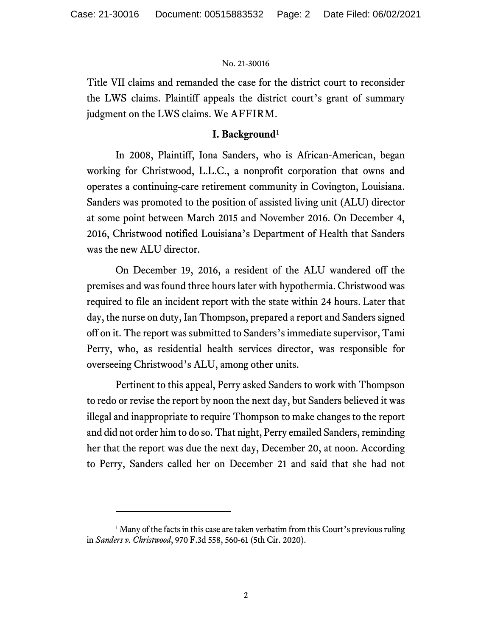Title VII claims and remanded the case for the district court to reconsider the LWS claims. Plaintiff appeals the district court's grant of summary judgment on the LWS claims. We AFFIRM.

## **I. Background**[1](#page-1-0)

In 2008, Plaintiff, Iona Sanders, who is African-American, began working for Christwood, L.L.C., a nonprofit corporation that owns and operates a continuing-care retirement community in Covington, Louisiana. Sanders was promoted to the position of assisted living unit (ALU) director at some point between March 2015 and November 2016. On December 4, 2016, Christwood notified Louisiana's Department of Health that Sanders was the new ALU director.

On December 19, 2016, a resident of the ALU wandered off the premises and was found three hours later with hypothermia. Christwood was required to file an incident report with the state within 24 hours. Later that day, the nurse on duty, Ian Thompson, prepared a report and Sanders signed off on it. The report was submitted to Sanders's immediate supervisor, Tami Perry, who, as residential health services director, was responsible for overseeing Christwood's ALU, among other units.

Pertinent to this appeal, Perry asked Sanders to work with Thompson to redo or revise the report by noon the next day, but Sanders believed it was illegal and inappropriate to require Thompson to make changes to the report and did not order him to do so. That night, Perry emailed Sanders, reminding her that the report was due the next day, December 20, at noon. According to Perry, Sanders called her on December 21 and said that she had not

<span id="page-1-0"></span> $<sup>1</sup>$  Many of the facts in this case are taken verbatim from this Court's previous ruling</sup> in *Sanders v. Christwood*, 970 F.3d 558, 560-61 (5th Cir. 2020).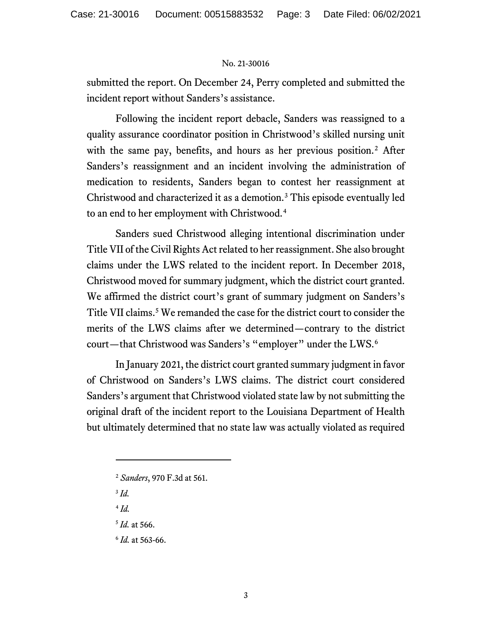submitted the report. On December 24, Perry completed and submitted the incident report without Sanders's assistance.

Following the incident report debacle, Sanders was reassigned to a quality assurance coordinator position in Christwood's skilled nursing unit with the same pay, benefits, and hours as her previous position.<sup>[2](#page-2-0)</sup> After Sanders's reassignment and an incident involving the administration of medication to residents, Sanders began to contest her reassignment at Christwood and characterized it as a demotion.[3](#page-2-1) This episode eventually led to an end to her employment with Christwood.[4](#page-2-2)

Sanders sued Christwood alleging intentional discrimination under Title VII of the Civil Rights Act related to her reassignment. She also brought claims under the LWS related to the incident report. In December 2018, Christwood moved for summary judgment, which the district court granted. We affirmed the district court's grant of summary judgment on Sanders's Title VII claims.<sup>[5](#page-2-3)</sup> We remanded the case for the district court to consider the merits of the LWS claims after we determined—contrary to the district court—that Christwood was Sanders's "employer" under the LWS.<sup>[6](#page-2-4)</sup>

In January 2021, the district court granted summary judgment in favor of Christwood on Sanders's LWS claims. The district court considered Sanders's argument that Christwood violated state law by not submitting the original draft of the incident report to the Louisiana Department of Health but ultimately determined that no state law was actually violated as required

- <span id="page-2-0"></span><sup>2</sup> *Sanders*, 970 F.3d at 561.
- <span id="page-2-1"></span><sup>3</sup> *Id.*

<span id="page-2-2"></span> $4$   $Id$ .

<span id="page-2-3"></span><sup>5</sup> *Id.* at 566.

<span id="page-2-4"></span><sup>6</sup> *Id.* at 563-66.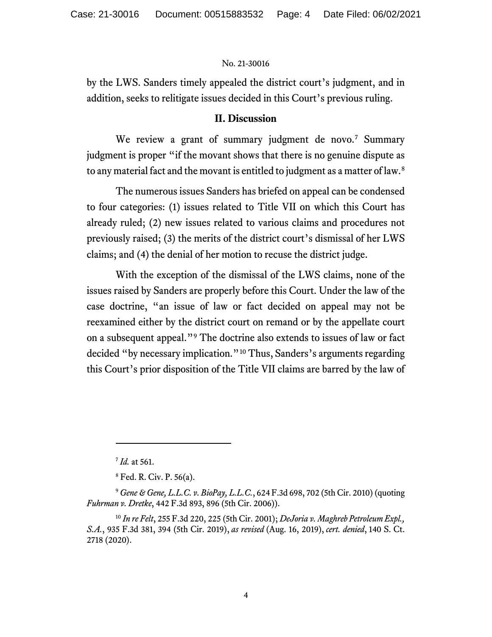by the LWS. Sanders timely appealed the district court's judgment, and in addition, seeks to relitigate issues decided in this Court's previous ruling.

## **II. Discussion**

We review a grant of summary judgment de novo.<sup>[7](#page-3-0)</sup> Summary judgment is proper "if the movant shows that there is no genuine dispute as to any material fact and the movant is entitled to judgment as a matter of law.<sup>[8](#page-3-1)</sup>

The numerous issues Sanders has briefed on appeal can be condensed to four categories: (1) issues related to Title VII on which this Court has already ruled; (2) new issues related to various claims and procedures not previously raised; (3) the merits of the district court's dismissal of her LWS claims; and (4) the denial of her motion to recuse the district judge.

With the exception of the dismissal of the LWS claims, none of the issues raised by Sanders are properly before this Court. Under the law of the case doctrine, "an issue of law or fact decided on appeal may not be reexamined either by the district court on remand or by the appellate court on a subsequent appeal."[9](#page-3-2) The doctrine also extends to issues of law or fact decided "by necessary implication."[10](#page-3-3) Thus, Sanders's arguments regarding this Court's prior disposition of the Title VII claims are barred by the law of

<sup>7</sup> *Id.* at 561.

<sup>8</sup> Fed. R. Civ. P. 56(a).

<span id="page-3-2"></span><span id="page-3-1"></span><span id="page-3-0"></span><sup>9</sup> *Gene & Gene, L.L.C. v. BioPay, L.L.C.*, 624 F.3d 698, 702 (5th Cir. 2010) (quoting *Fuhrman v. Dretke*, 442 F.3d 893, 896 (5th Cir. 2006)).

<span id="page-3-3"></span><sup>10</sup> *In re Felt*, 255 F.3d 220, 225 (5th Cir. 2001); *DeJoria v. Maghreb Petroleum Expl., S.A.*, 935 F.3d 381, 394 (5th Cir. 2019), *as revised* (Aug. 16, 2019), *cert. denied*, 140 S. Ct. 2718 (2020).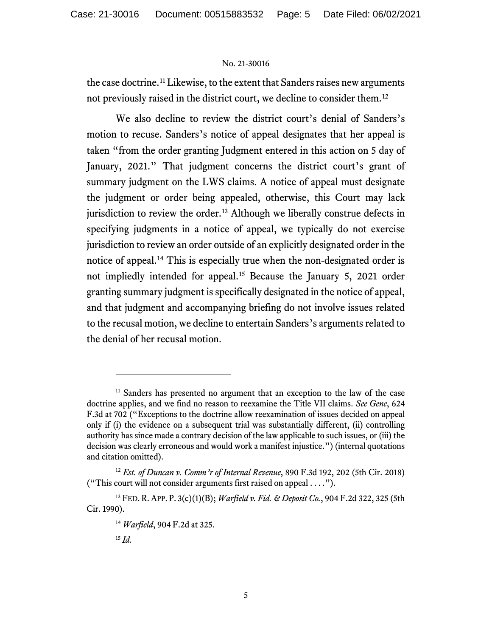the case doctrine.[11](#page-4-0) Likewise, to the extent that Sanders raises new arguments not previously raised in the district court, we decline to consider them.[12](#page-4-1)

We also decline to review the district court's denial of Sanders's motion to recuse. Sanders's notice of appeal designates that her appeal is taken "from the order granting Judgment entered in this action on 5 day of January, 2021." That judgment concerns the district court's grant of summary judgment on the LWS claims. A notice of appeal must designate the judgment or order being appealed, otherwise, this Court may lack jurisdiction to review the order.<sup>[13](#page-4-2)</sup> Although we liberally construe defects in specifying judgments in a notice of appeal, we typically do not exercise jurisdiction to review an order outside of an explicitly designated order in the notice of appeal.[14](#page-4-3) This is especially true when the non-designated order is not impliedly intended for appeal.[15](#page-4-4) Because the January 5, 2021 order granting summary judgment is specifically designated in the notice of appeal, and that judgment and accompanying briefing do not involve issues related to the recusal motion, we decline to entertain Sanders's arguments related to the denial of her recusal motion.

<span id="page-4-0"></span><sup>&</sup>lt;sup>11</sup> Sanders has presented no argument that an exception to the law of the case doctrine applies, and we find no reason to reexamine the Title VII claims. *See Gene*, 624 F.3d at 702 ("Exceptions to the doctrine allow reexamination of issues decided on appeal only if (i) the evidence on a subsequent trial was substantially different, (ii) controlling authority has since made a contrary decision of the law applicable to such issues, or (iii) the decision was clearly erroneous and would work a manifest injustice.") (internal quotations and citation omitted).

<span id="page-4-1"></span><sup>12</sup> *Est. of Duncan v. Comm'r of Internal Revenue*, 890 F.3d 192, 202 (5th Cir. 2018) ("This court will not consider arguments first raised on appeal . . . .").

<span id="page-4-4"></span><span id="page-4-3"></span><span id="page-4-2"></span><sup>13</sup> FED. R. APP. P. 3(c)(1)(B); *Warfield v. Fid. & Deposit Co.*, 904 F.2d 322, 325 (5th Cir. 1990).

<sup>14</sup> *Warfield*, 904 F.2d at 325.

<sup>15</sup> *Id.*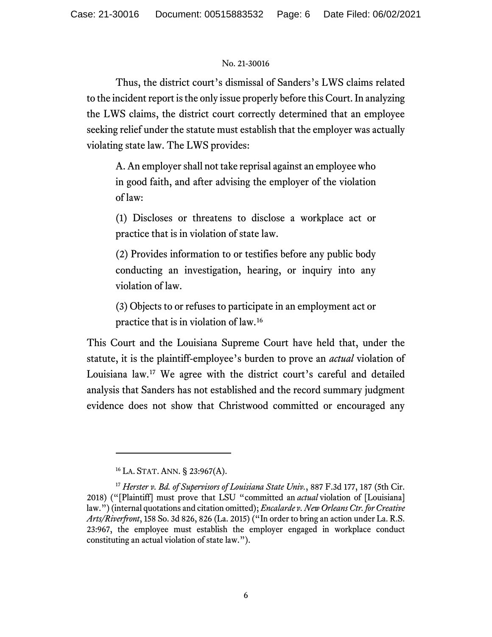Thus, the district court's dismissal of Sanders's LWS claims related to the incident report is the only issue properly before this Court. In analyzing the LWS claims, the district court correctly determined that an employee seeking relief under the statute must establish that the employer was actually violating state law. The LWS provides:

A. An employer shall not take reprisal against an employee who in good faith, and after advising the employer of the violation of law:

(1) Discloses or threatens to disclose a workplace act or practice that is in violation of state law.

(2) Provides information to or testifies before any public body conducting an investigation, hearing, or inquiry into any violation of law.

(3) Objects to or refuses to participate in an employment act or practice that is in violation of law.[16](#page-5-0)

This Court and the Louisiana Supreme Court have held that, under the statute, it is the plaintiff-employee's burden to prove an *actual* violation of Louisiana law.[17](#page-5-1) We agree with the district court's careful and detailed analysis that Sanders has not established and the record summary judgment evidence does not show that Christwood committed or encouraged any

<sup>16</sup> LA. STAT. ANN. § 23:967(A).

<span id="page-5-1"></span><span id="page-5-0"></span><sup>&</sup>lt;sup>17</sup> *Herster v. Bd. of Supervisors of Louisiana State Univ.*, 887 F.3d 177, 187 (5th Cir. 2018) ("[Plaintiff] must prove that LSU "committed an *actual* violation of [Louisiana] law.") (internal quotations and citation omitted); *Encalarde v. New Orleans Ctr. for Creative Arts/Riverfront*, 158 So. 3d 826, 826 (La. 2015) ("In order to bring an action under La. R.S. 23:967, the employee must establish the employer engaged in workplace conduct constituting an actual violation of state law.").